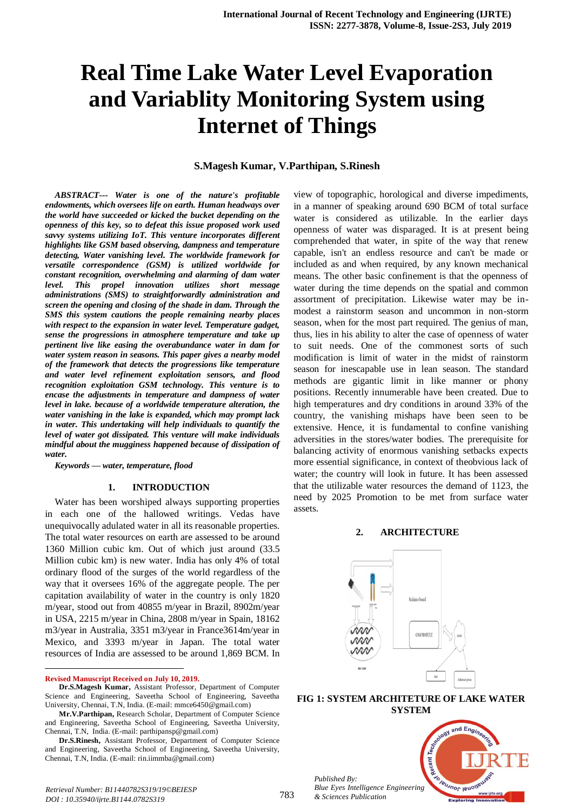# **Real Time Lake Water Level Evaporation and Variablity Monitoring System using Internet of Things**

## **S.Magesh Kumar, V.Parthipan, S.Rinesh**

*ABSTRACT--- Water is one of the nature's profitable endowments, which oversees life on earth. Human headways over the world have succeeded or kicked the bucket depending on the openness of this key, so to defeat this issue proposed work used savvy systems utilizing IoT. This venture incorporates different highlights like GSM based observing, dampness and temperature detecting, Water vanishing level. The worldwide framework for versatile correspondence (GSM) is utilized worldwide for constant recognition, overwhelming and alarming of dam water level. This propel innovation utilizes short message administrations (SMS) to straightforwardly administration and screen the opening and closing of the shade in dam. Through the SMS this system cautions the people remaining nearby places with respect to the expansion in water level. Temperature gadget, sense the progressions in atmosphere temperature and take up pertinent live like easing the overabundance water in dam for water system reason in seasons. This paper gives a nearby model of the framework that detects the progressions like temperature and water level refinement exploitation sensors, and flood recognition exploitation GSM technology. This venture is to encase the adjustments in temperature and dampness of water level in lake. because of a worldwide temperature alteration, the water vanishing in the lake is expanded, which may prompt lack in water. This undertaking will help individuals to quantify the level of water got dissipated. This venture will make individuals mindful about the mugginess happened because of dissipation of water.*

*Keywords — water, temperature, flood*

#### **1. INTRODUCTION**

Water has been worshiped always supporting properties in each one of the hallowed writings. Vedas have unequivocally adulated water in all its reasonable properties. The total water resources on earth are assessed to be around 1360 Million cubic km. Out of which just around (33.5 Million cubic km) is new water. India has only 4% of total ordinary flood of the surges of the world regardless of the way that it oversees 16% of the aggregate people. The per capitation availability of water in the country is only 1820 m/year, stood out from 40855 m/year in Brazil, 8902m/year in USA, 2215 m/year in China, 2808 m/year in Spain, 18162 m3/year in Australia, 3351 m3/year in France3614m/year in Mexico, and 3393 m/year in Japan. The total water resources of India are assessed to be around 1,869 BCM. In

**Revised Manuscript Received on July 10, 2019.**

 $\ddot{\phantom{a}}$ 

view of topographic, horological and diverse impediments, in a manner of speaking around 690 BCM of total surface water is considered as utilizable. In the earlier days openness of water was disparaged. It is at present being comprehended that water, in spite of the way that renew capable, isn't an endless resource and can't be made or included as and when required, by any known mechanical means. The other basic confinement is that the openness of water during the time depends on the spatial and common assortment of precipitation. Likewise water may be inmodest a rainstorm season and uncommon in non-storm season, when for the most part required. The genius of man, thus, lies in his ability to alter the case of openness of water to suit needs. One of the commonest sorts of such modification is limit of water in the midst of rainstorm season for inescapable use in lean season. The standard methods are gigantic limit in like manner or phony positions. Recently innumerable have been created. Due to high temperatures and dry conditions in around 33% of the country, the vanishing mishaps have been seen to be extensive. Hence, it is fundamental to confine vanishing adversities in the stores/water bodies. The prerequisite for balancing activity of enormous vanishing setbacks expects more essential significance, in context of theobvious lack of water; the country will look in future. It has been assessed that the utilizable water resources the demand of 1123, the need by 2025 Promotion to be met from surface water assets.

#### **2. ARCHITECTURE**



#### **FIG 1: SYSTEM ARCHITETURE OF LAKE WATER SYSTEM**

*Published By: Blue Eyes Intelligence Engineering & Sciences Publication* 



**Dr.S.Magesh Kumar,** Assistant Professor, Department of Computer Science and Engineering, Saveetha School of Engineering, Saveetha University, Chennai, T.N, India. (E-mail: mmce6450@gmail.com)

**Mr.V.Parthipan,** Research Scholar, Department of Computer Science and Engineering, Saveetha School of Engineering, Saveetha University, Chennai, T.N, India. (E-mail: parthipansp@gmail.com)

**Dr.S.Rinesh,** Assistant Professor, Department of Computer Science and Engineering, Saveetha School of Engineering, Saveetha University, Chennai, T.N, India. (E-mail: rin.iimmba@gmail.com)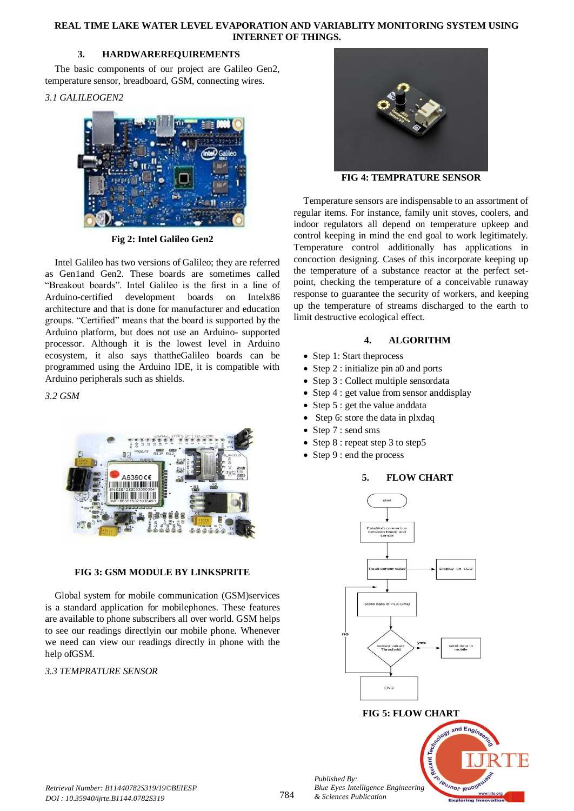## **REAL TIME LAKE WATER LEVEL EVAPORATION AND VARIABLITY MONITORING SYSTEM USING INTERNET OF THINGS.**

# **3. HARDWAREREQUIREMENTS**

The basic components of our project are Galileo Gen2, temperature sensor, breadboard, GSM, connecting wires.

# *3.1 GALILEOGEN2*



**Fig 2: Intel Galileo Gen2**

Intel Galileo has two versions of Galileo; they are referred as Gen1and Gen2. These boards are sometimes called "Breakout boards". Intel Galileo is the first in a line of Arduino-certified development boards on Intelx86 architecture and that is done for manufacturer and education groups. "Certified" means that the board is supported by the Arduino platform, but does not use an Arduino- supported processor. Although it is the lowest level in Arduino ecosystem, it also says thattheGalileo boards can be programmed using the Arduino IDE, it is compatible with Arduino peripherals such as shields.

*3.2 GSM*



# **FIG 3: GSM MODULE BY LINKSPRITE**

Global system for mobile communication (GSM)services is a standard application for mobilephones. These features are available to phone subscribers all over world. GSM helps to see our readings directlyin our mobile phone. Whenever we need can view our readings directly in phone with the help ofGSM.

# *3.3 TEMPRATURE SENSOR*



**FIG 4: TEMPRATURE SENSOR**

Temperature sensors are indispensable to an assortment of regular items. For instance, family unit stoves, coolers, and indoor regulators all depend on temperature upkeep and control keeping in mind the end goal to work legitimately. Temperature control additionally has applications in concoction designing. Cases of this incorporate keeping up the temperature of a substance reactor at the perfect setpoint, checking the temperature of a conceivable runaway response to guarantee the security of workers, and keeping up the temperature of streams discharged to the earth to limit destructive ecological effect.

# **4. ALGORITHM**

- Step 1: Start theprocess
- Step 2 : initialize pin a0 and ports
- Step 3 : Collect multiple sensordata
- Step 4 : get value from sensor and display
- Step 5 : get the value anddata
- Step 6: store the data in plxdaq
- Step 7 : send sms
- Step 8 : repeat step 3 to step5
- Step 9 : end the process

# **5. FLOW CHART**



# **FIG 5: FLOW CHART**



*Published By:*

*& Sciences Publication*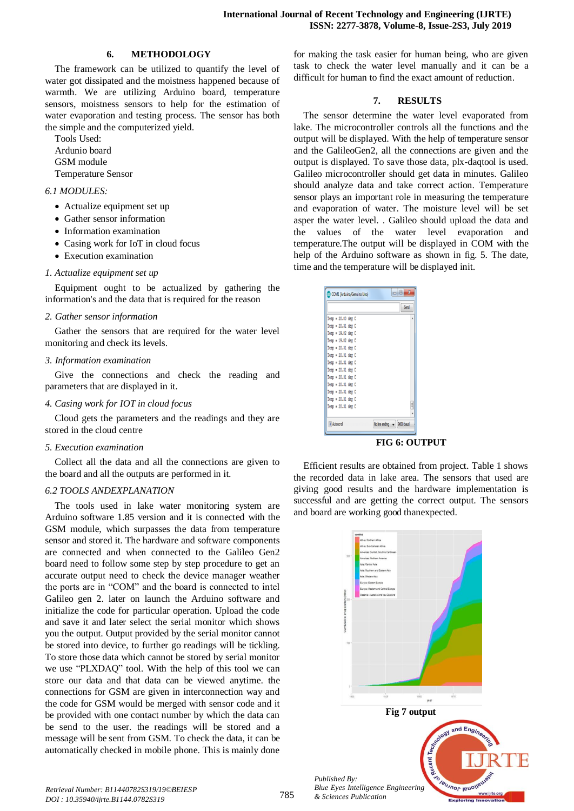#### **6. METHODOLOGY**

The framework can be utilized to quantify the level of water got dissipated and the moistness happened because of warmth. We are utilizing Arduino board, temperature sensors, moistness sensors to help for the estimation of water evaporation and testing process. The sensor has both the simple and the computerized yield.

Tools Used: Ardunio board GSM module Temperature Sensor

#### *6.1 MODULES:*

- Actualize equipment set up
- Gather sensor information
- Information examination
- Casing work for IoT in cloud focus
- Execution examination

#### *1. Actualize equipment set up*

Equipment ought to be actualized by gathering the information's and the data that is required for the reason

#### *2. Gather sensor information*

Gather the sensors that are required for the water level monitoring and check its levels.

#### *3. Information examination*

Give the connections and check the reading and parameters that are displayed in it.

#### *4. Casing work for IOT in cloud focus*

Cloud gets the parameters and the readings and they are stored in the cloud centre

*5. Execution examination*

Collect all the data and all the connections are given to the board and all the outputs are performed in it.

## *6.2 TOOLS ANDEXPLANATION*

The tools used in lake water monitoring system are Arduino software 1.85 version and it is connected with the GSM module, which surpasses the data from temperature sensor and stored it. The hardware and software components are connected and when connected to the Galileo Gen2 board need to follow some step by step procedure to get an accurate output need to check the device manager weather the ports are in "COM" and the board is connected to intel Galileo gen 2. later on launch the Arduino software and initialize the code for particular operation. Upload the code and save it and later select the serial monitor which shows you the output. Output provided by the serial monitor cannot be stored into device, to further go readings will be tickling. To store those data which cannot be stored by serial monitor we use "PLXDAQ" tool. With the help of this tool we can store our data and that data can be viewed anytime. the connections for GSM are given in interconnection way and the code for GSM would be merged with sensor code and it be provided with one contact number by which the data can be send to the user. the readings will be stored and a message will be sent from GSM. To check the data, it can be automatically checked in mobile phone. This is mainly done

for making the task easier for human being, who are given task to check the water level manually and it can be a difficult for human to find the exact amount of reduction.

# **7. RESULTS**

The sensor determine the water level evaporated from lake. The microcontroller controls all the functions and the output will be displayed. With the help of temperature sensor and the GalileoGen2, all the connections are given and the output is displayed. To save those data, plx-daqtool is used. Galileo microcontroller should get data in minutes. Galileo should analyze data and take correct action. Temperature sensor plays an important role in measuring the temperature and evaporation of water. The moisture level will be set asper the water level. . Galileo should upload the data and the values of the water level evaporation and temperature.The output will be displayed in COM with the help of the Arduino software as shown in fig. 5. The date, time and the temperature will be displayed init.

|                      |                            | Send |
|----------------------|----------------------------|------|
| Temp = 20.80 deg C   |                            | ۸    |
| $Temp = 20.31 deg C$ |                            |      |
| Temp = 19.82 deg C   |                            |      |
| $Temo = 19.82 deg C$ |                            |      |
| $Temp = 20.31 deg C$ |                            |      |
| $Temp = 20.31 deg C$ |                            |      |
| $Temp = 20.31 deg C$ |                            |      |
| $Temp = 20.31 deg C$ |                            |      |
| $Temp = 20.31 deg C$ |                            |      |
| $Temo = 20.31 deg C$ |                            |      |
| $Temp = 20.31 deg C$ |                            |      |
| $Temp = 20.31 deg C$ |                            |      |
| $Temo = 20.31 deg C$ |                            | H    |
|                      |                            |      |
| V Autoscrol          | No line ending v 9600 baud |      |

**FIG 6: OUTPUT**

Efficient results are obtained from project. Table 1 shows the recorded data in lake area. The sensors that used are giving good results and the hardware implementation is successful and are getting the correct output. The sensors and board are working good thanexpected.